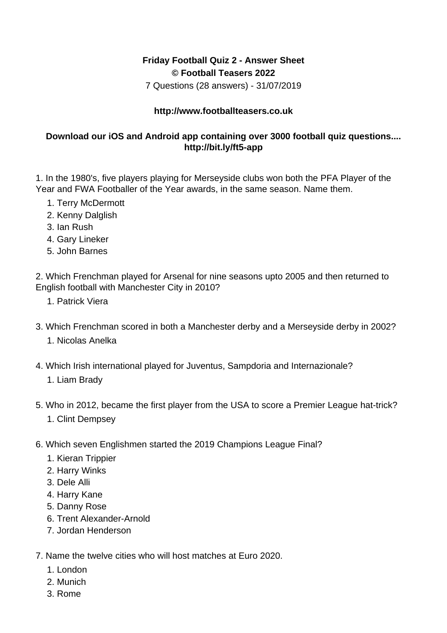## **Friday Football Quiz 2 - Answer Sheet © Football Teasers 2022**

7 Questions (28 answers) - 31/07/2019

## **http://www.footballteasers.co.uk**

## **Download our iOS and Android app containing over 3000 football quiz questions.... http://bit.ly/ft5-app**

1. In the 1980's, five players playing for Merseyside clubs won both the PFA Player of the Year and FWA Footballer of the Year awards, in the same season. Name them.

- 1. Terry McDermott
- 2. Kenny Dalglish
- 3. Ian Rush
- 4. Gary Lineker
- 5. John Barnes

2. Which Frenchman played for Arsenal for nine seasons upto 2005 and then returned to English football with Manchester City in 2010?

- 1. Patrick Viera
- 3. Which Frenchman scored in both a Manchester derby and a Merseyside derby in 2002? 1. Nicolas Anelka
- 4. Which Irish international played for Juventus, Sampdoria and Internazionale?
	- 1. Liam Brady
- 5. Who in 2012, became the first player from the USA to score a Premier League hat-trick?
	- 1. Clint Dempsey
- 6. Which seven Englishmen started the 2019 Champions League Final?
	- 1. Kieran Trippier
	- 2. Harry Winks
	- 3. Dele Alli
	- 4. Harry Kane
	- 5. Danny Rose
	- 6. Trent Alexander-Arnold
	- 7. Jordan Henderson
- 7. Name the twelve cities who will host matches at Euro 2020.
	- 1. London
	- 2. Munich
	- 3. Rome